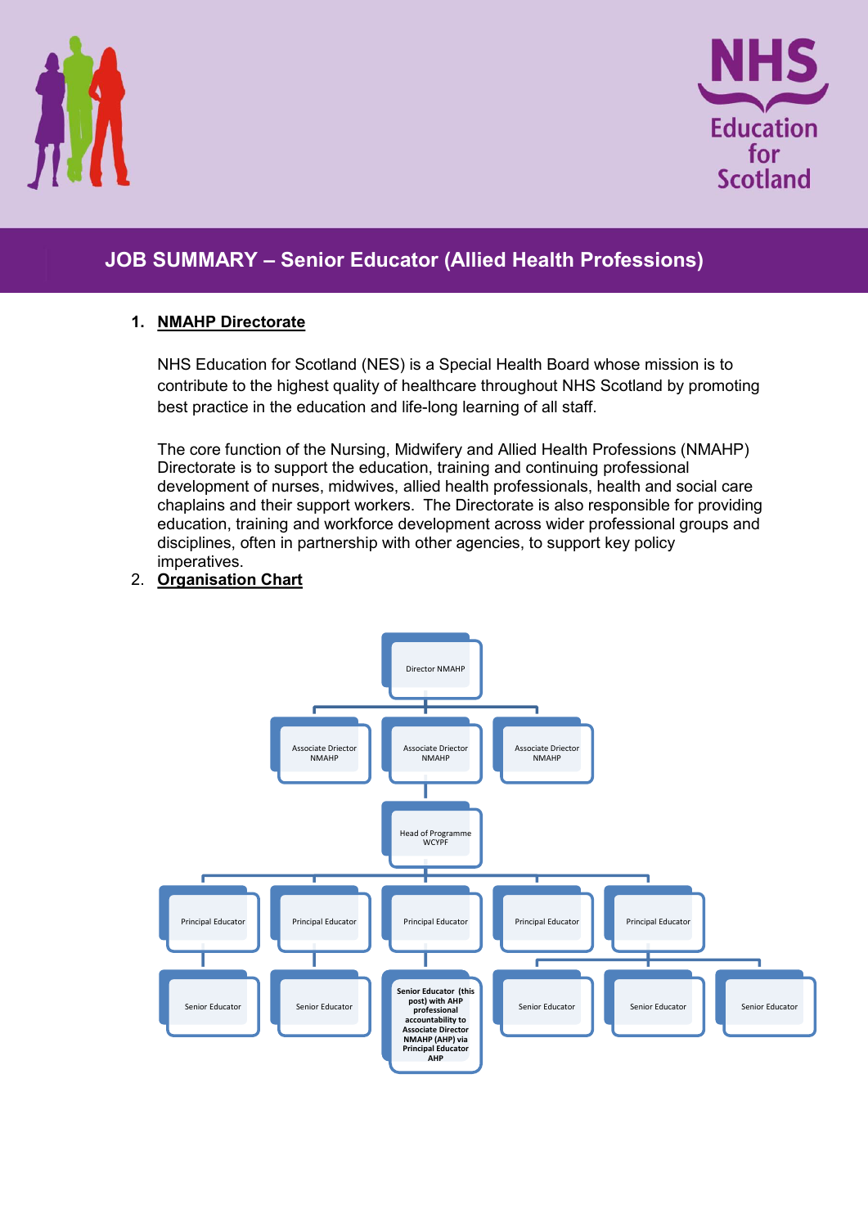



# **JOB SUMMARY – Senior Educator (Allied Health Professions)**

#### **1. NMAHP Directorate**

NHS Education for Scotland (NES) is a Special Health Board whose mission is to contribute to the highest quality of healthcare throughout NHS Scotland by promoting best practice in the education and life-long learning of all staff.

The core function of the Nursing, Midwifery and Allied Health Professions (NMAHP) Directorate is to support the education, training and continuing professional development of nurses, midwives, allied health professionals, health and social care chaplains and their support workers. The Directorate is also responsible for providing education, training and workforce development across wider professional groups and disciplines, often in partnership with other agencies, to support key policy imperatives.

#### 2. **Organisation Chart**

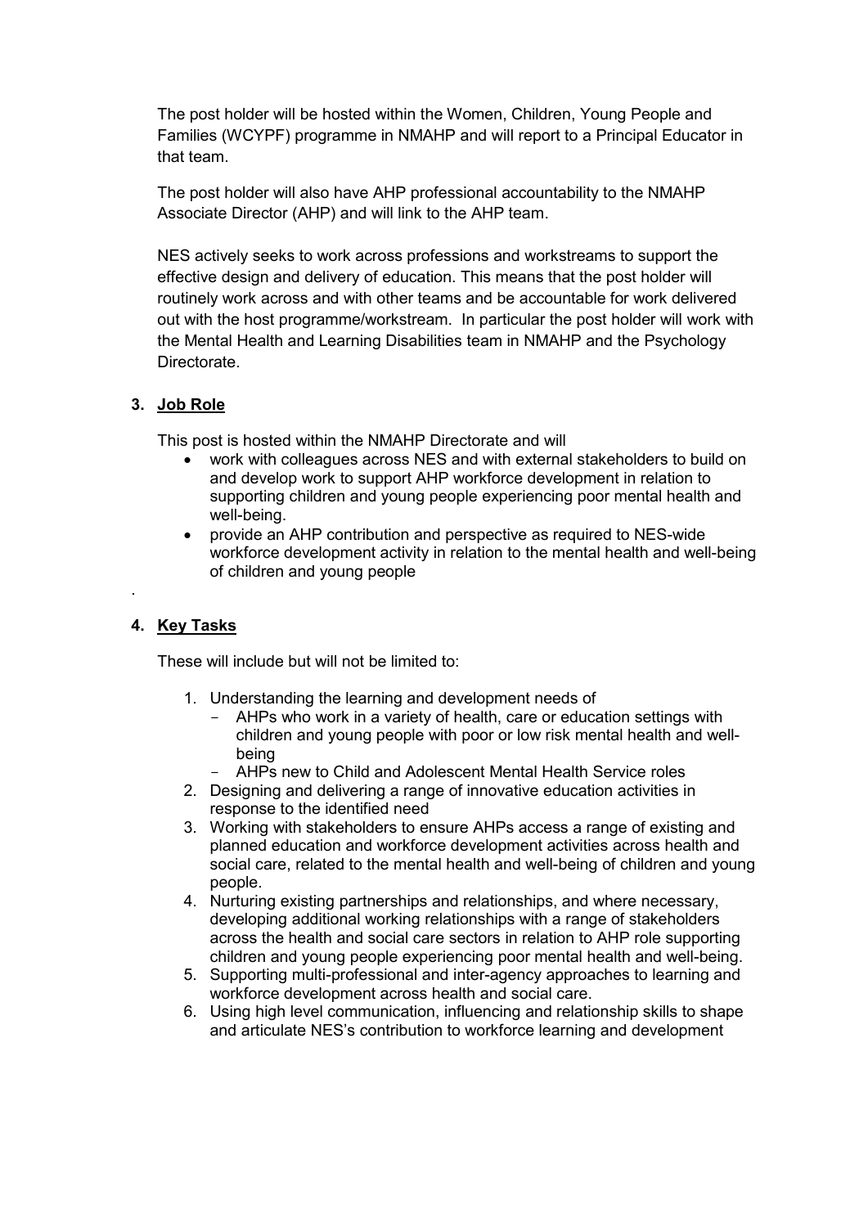The post holder will be hosted within the Women, Children, Young People and Families (WCYPF) programme in NMAHP and will report to a Principal Educator in that team.

The post holder will also have AHP professional accountability to the NMAHP Associate Director (AHP) and will link to the AHP team.

NES actively seeks to work across professions and workstreams to support the effective design and delivery of education. This means that the post holder will routinely work across and with other teams and be accountable for work delivered out with the host programme/workstream. In particular the post holder will work with the Mental Health and Learning Disabilities team in NMAHP and the Psychology **Directorate** 

#### **3. Job Role**

This post is hosted within the NMAHP Directorate and will

- work with colleagues across NES and with external stakeholders to build on and develop work to support AHP workforce development in relation to supporting children and young people experiencing poor mental health and well-being.
- provide an AHP contribution and perspective as required to NES-wide workforce development activity in relation to the mental health and well-being of children and young people

#### **4. Key Tasks**

.

These will include but will not be limited to:

- 1. Understanding the learning and development needs of
	- AHPs who work in a variety of health, care or education settings with children and young people with poor or low risk mental health and wellbeing
	- AHPs new to Child and Adolescent Mental Health Service roles
- 2. Designing and delivering a range of innovative education activities in response to the identified need
- 3. Working with stakeholders to ensure AHPs access a range of existing and planned education and workforce development activities across health and social care, related to the mental health and well-being of children and young people.
- 4. Nurturing existing partnerships and relationships, and where necessary, developing additional working relationships with a range of stakeholders across the health and social care sectors in relation to AHP role supporting children and young people experiencing poor mental health and well-being.
- 5. Supporting multi-professional and inter-agency approaches to learning and workforce development across health and social care.
- 6. Using high level communication, influencing and relationship skills to shape and articulate NES's contribution to workforce learning and development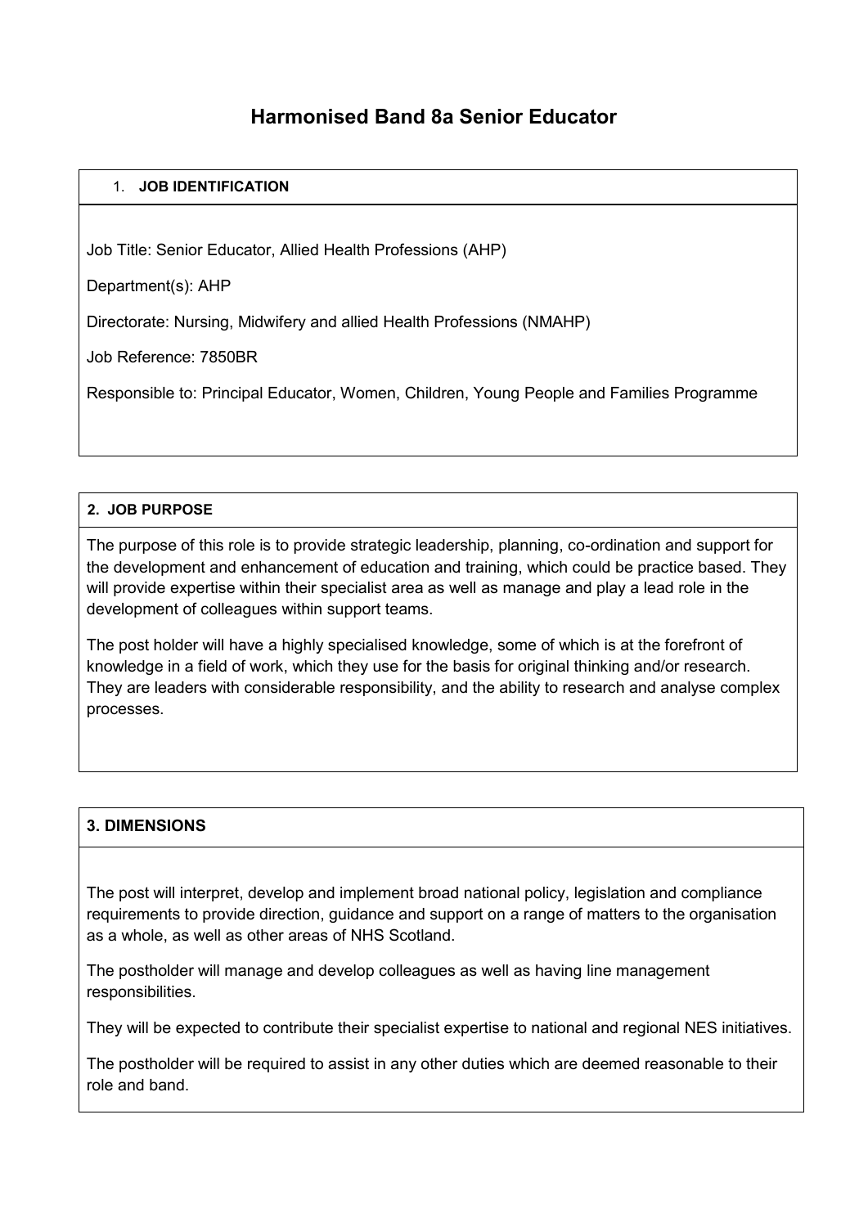## **Harmonised Band 8a Senior Educator**

#### 1. **JOB IDENTIFICATION**

Job Title: Senior Educator, Allied Health Professions (AHP)

Department(s): AHP

Directorate: Nursing, Midwifery and allied Health Professions (NMAHP)

Job Reference: 7850BR

Responsible to: Principal Educator, Women, Children, Young People and Families Programme

#### **2. JOB PURPOSE**

The purpose of this role is to provide strategic leadership, planning, co-ordination and support for the development and enhancement of education and training, which could be practice based. They will provide expertise within their specialist area as well as manage and play a lead role in the development of colleagues within support teams.

The post holder will have a highly specialised knowledge, some of which is at the forefront of knowledge in a field of work, which they use for the basis for original thinking and/or research. They are leaders with considerable responsibility, and the ability to research and analyse complex processes.

#### **3. DIMENSIONS**

The post will interpret, develop and implement broad national policy, legislation and compliance requirements to provide direction, guidance and support on a range of matters to the organisation as a whole, as well as other areas of NHS Scotland.

The postholder will manage and develop colleagues as well as having line management responsibilities.

They will be expected to contribute their specialist expertise to national and regional NES initiatives.

The postholder will be required to assist in any other duties which are deemed reasonable to their role and band.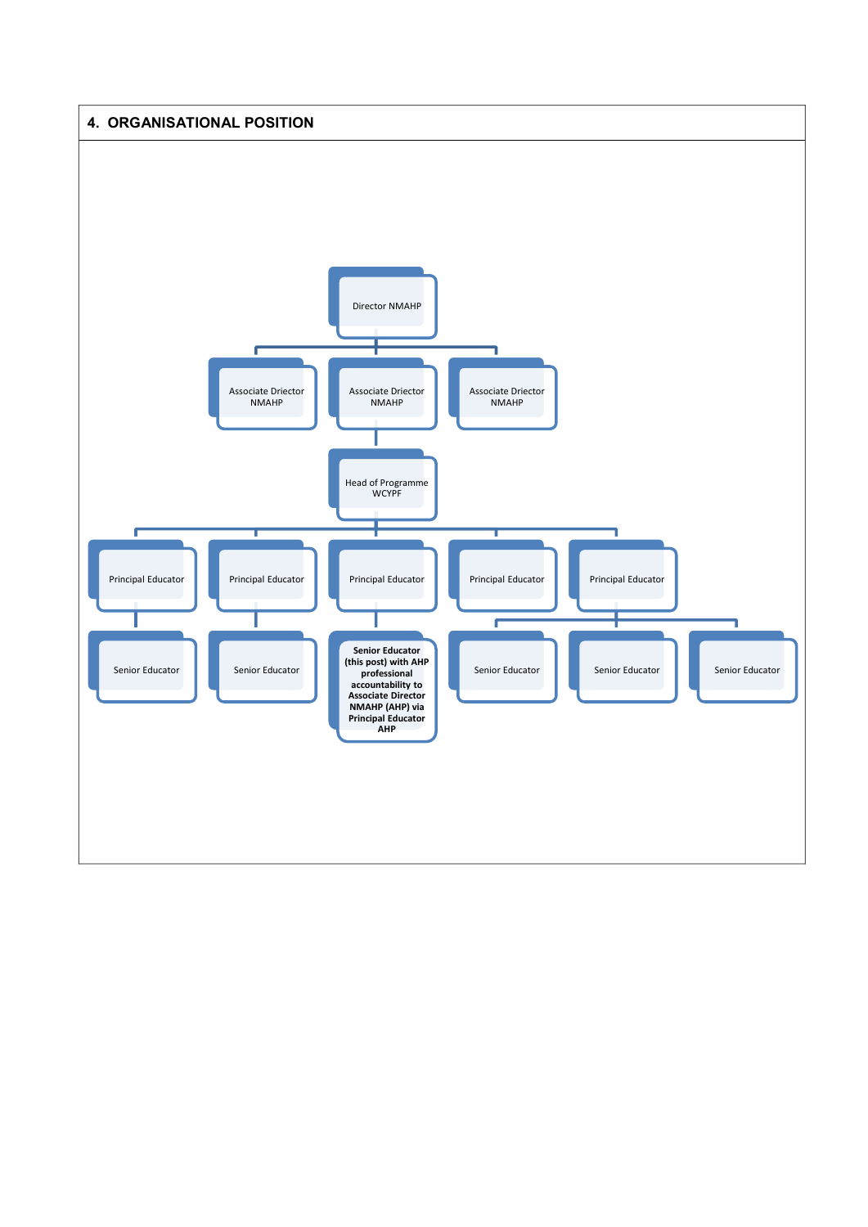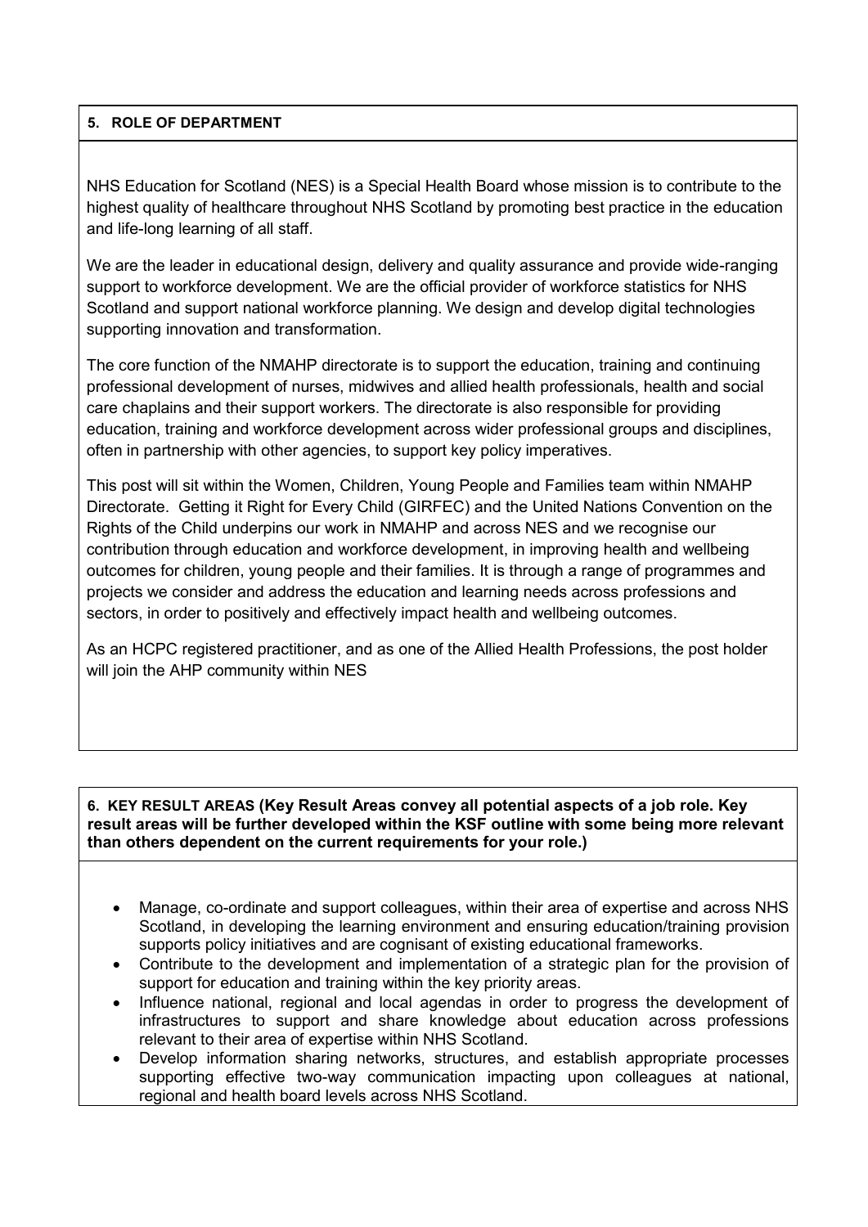#### **5. ROLE OF DEPARTMENT**

NHS Education for Scotland (NES) is a Special Health Board whose mission is to contribute to the highest quality of healthcare throughout NHS Scotland by promoting best practice in the education and life-long learning of all staff.

We are the leader in educational design, delivery and quality assurance and provide wide-ranging support to workforce development. We are the official provider of workforce statistics for NHS Scotland and support national workforce planning. We design and develop digital technologies supporting innovation and transformation.

The core function of the NMAHP directorate is to support the education, training and continuing professional development of nurses, midwives and allied health professionals, health and social care chaplains and their support workers. The directorate is also responsible for providing education, training and workforce development across wider professional groups and disciplines, often in partnership with other agencies, to support key policy imperatives.

This post will sit within the Women, Children, Young People and Families team within NMAHP Directorate. Getting it Right for Every Child [\(GIRFEC\)](http://#) and the [United Nations Convention on the](http://#)  [Rights of the Child u](http://#)nderpins our work in NMAHP and across NES and we recognise our contribution through education and workforce development, in improving health and wellbeing outcomes for children, young people and their families. It is through a range of programmes and projects we consider and address the education and learning needs across professions and sectors, in order to positively and effectively impact health and wellbeing outcomes.

As an HCPC registered practitioner, and as one of the Allied Health Professions, the post holder will join the AHP community within NES

**6. KEY RESULT AREAS (Key Result Areas convey all potential aspects of a job role. Key result areas will be further developed within the KSF outline with some being more relevant than others dependent on the current requirements for your role.)**

- Manage, co-ordinate and support colleagues, within their area of expertise and across NHS Scotland, in developing the learning environment and ensuring education/training provision supports policy initiatives and are cognisant of existing educational frameworks.
- Contribute to the development and implementation of a strategic plan for the provision of support for education and training within the key priority areas.
- Influence national, regional and local agendas in order to progress the development of infrastructures to support and share knowledge about education across professions relevant to their area of expertise within NHS Scotland.
- Develop information sharing networks, structures, and establish appropriate processes supporting effective two-way communication impacting upon colleagues at national, regional and health board levels across NHS Scotland.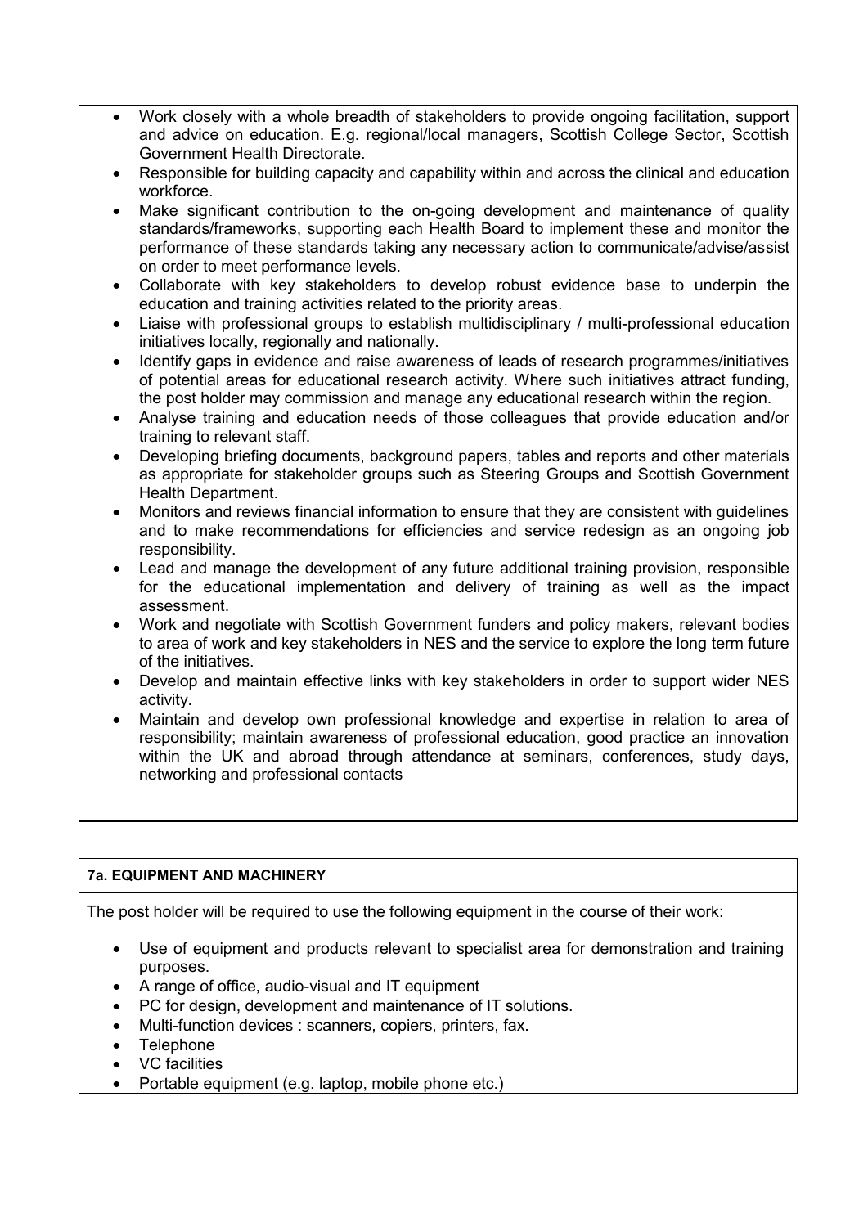- Work closely with a whole breadth of stakeholders to provide ongoing facilitation, support and advice on education. E.g. regional/local managers, Scottish College Sector, Scottish Government Health Directorate.
- Responsible for building capacity and capability within and across the clinical and education workforce.
- Make significant contribution to the on-going development and maintenance of quality standards/frameworks, supporting each Health Board to implement these and monitor the performance of these standards taking any necessary action to communicate/advise/assist on order to meet performance levels.
- Collaborate with key stakeholders to develop robust evidence base to underpin the education and training activities related to the priority areas.
- Liaise with professional groups to establish multidisciplinary / multi-professional education initiatives locally, regionally and nationally.
- Identify gaps in evidence and raise awareness of leads of research programmes/initiatives of potential areas for educational research activity. Where such initiatives attract funding, the post holder may commission and manage any educational research within the region.
- Analyse training and education needs of those colleagues that provide education and/or training to relevant staff.
- Developing briefing documents, background papers, tables and reports and other materials as appropriate for stakeholder groups such as Steering Groups and Scottish Government Health Department.
- Monitors and reviews financial information to ensure that they are consistent with guidelines and to make recommendations for efficiencies and service redesign as an ongoing job responsibility.
- Lead and manage the development of any future additional training provision, responsible for the educational implementation and delivery of training as well as the impact assessment.
- Work and negotiate with Scottish Government funders and policy makers, relevant bodies to area of work and key stakeholders in NES and the service to explore the long term future of the initiatives.
- Develop and maintain effective links with key stakeholders in order to support wider NES activity.
- Maintain and develop own professional knowledge and expertise in relation to area of responsibility; maintain awareness of professional education, good practice an innovation within the UK and abroad through attendance at seminars, conferences, study days, networking and professional contacts

#### **7a. EQUIPMENT AND MACHINERY**

The post holder will be required to use the following equipment in the course of their work:

- Use of equipment and products relevant to specialist area for demonstration and training purposes.
- A range of office, audio-visual and IT equipment
- PC for design, development and maintenance of IT solutions.
- Multi-function devices : scanners, copiers, printers, fax.
- Telephone
- VC facilities
- Portable equipment (e.g. laptop, mobile phone etc.)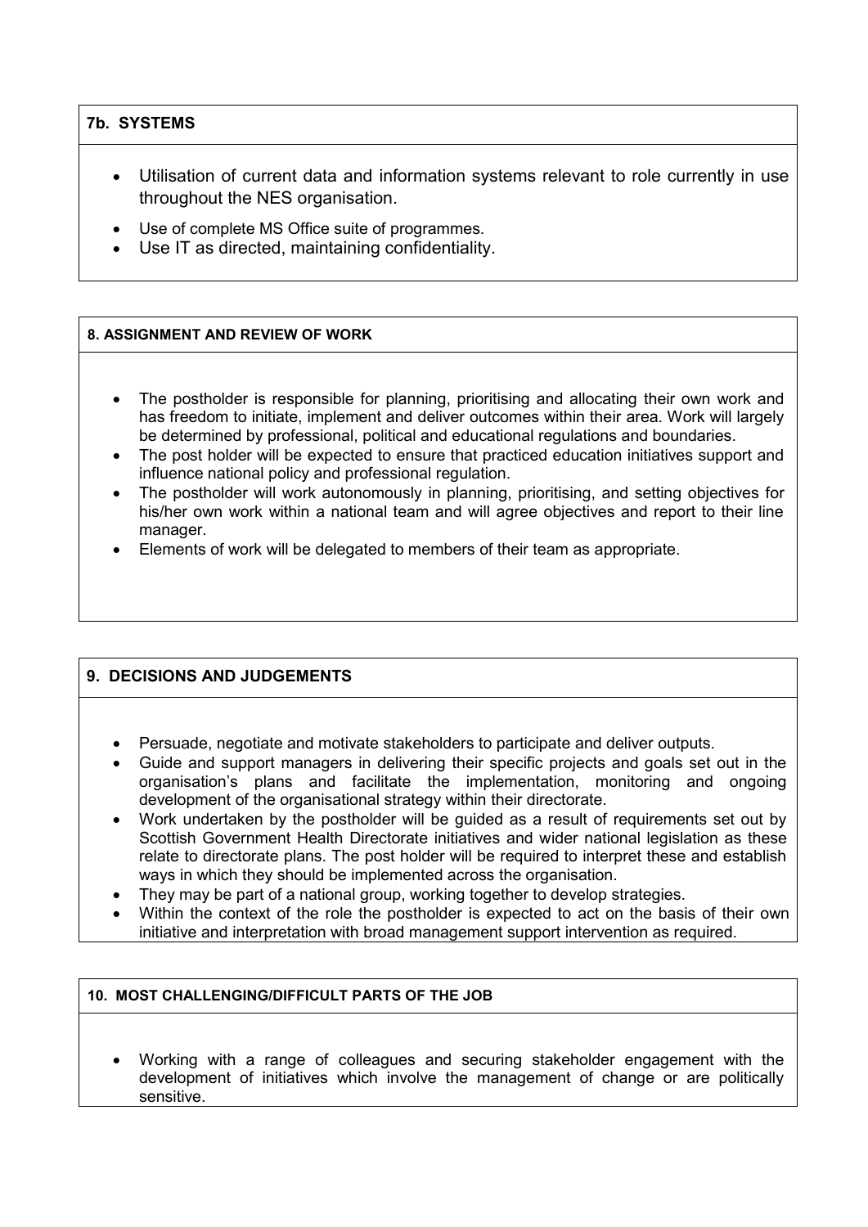#### **7b. SYSTEMS**

- Utilisation of current data and information systems relevant to role currently in use throughout the NES organisation.
- Use of complete MS Office suite of programmes.
- Use IT as directed, maintaining confidentiality.

#### **8. ASSIGNMENT AND REVIEW OF WORK**

- The postholder is responsible for planning, prioritising and allocating their own work and has freedom to initiate, implement and deliver outcomes within their area. Work will largely be determined by professional, political and educational regulations and boundaries.
- The post holder will be expected to ensure that practiced education initiatives support and influence national policy and professional regulation.
- The postholder will work autonomously in planning, prioritising, and setting objectives for his/her own work within a national team and will agree objectives and report to their line manager.
- Elements of work will be delegated to members of their team as appropriate.

#### **9. DECISIONS AND JUDGEMENTS**

- Persuade, negotiate and motivate stakeholders to participate and deliver outputs.
- Guide and support managers in delivering their specific projects and goals set out in the organisation's plans and facilitate the implementation, monitoring and ongoing development of the organisational strategy within their directorate.
- Work undertaken by the postholder will be guided as a result of requirements set out by Scottish Government Health Directorate initiatives and wider national legislation as these relate to directorate plans. The post holder will be required to interpret these and establish ways in which they should be implemented across the organisation.
- They may be part of a national group, working together to develop strategies.
- Within the context of the role the postholder is expected to act on the basis of their own initiative and interpretation with broad management support intervention as required.

#### **10. MOST CHALLENGING/DIFFICULT PARTS OF THE JOB**

 Working with a range of colleagues and securing stakeholder engagement with the development of initiatives which involve the management of change or are politically sensitive.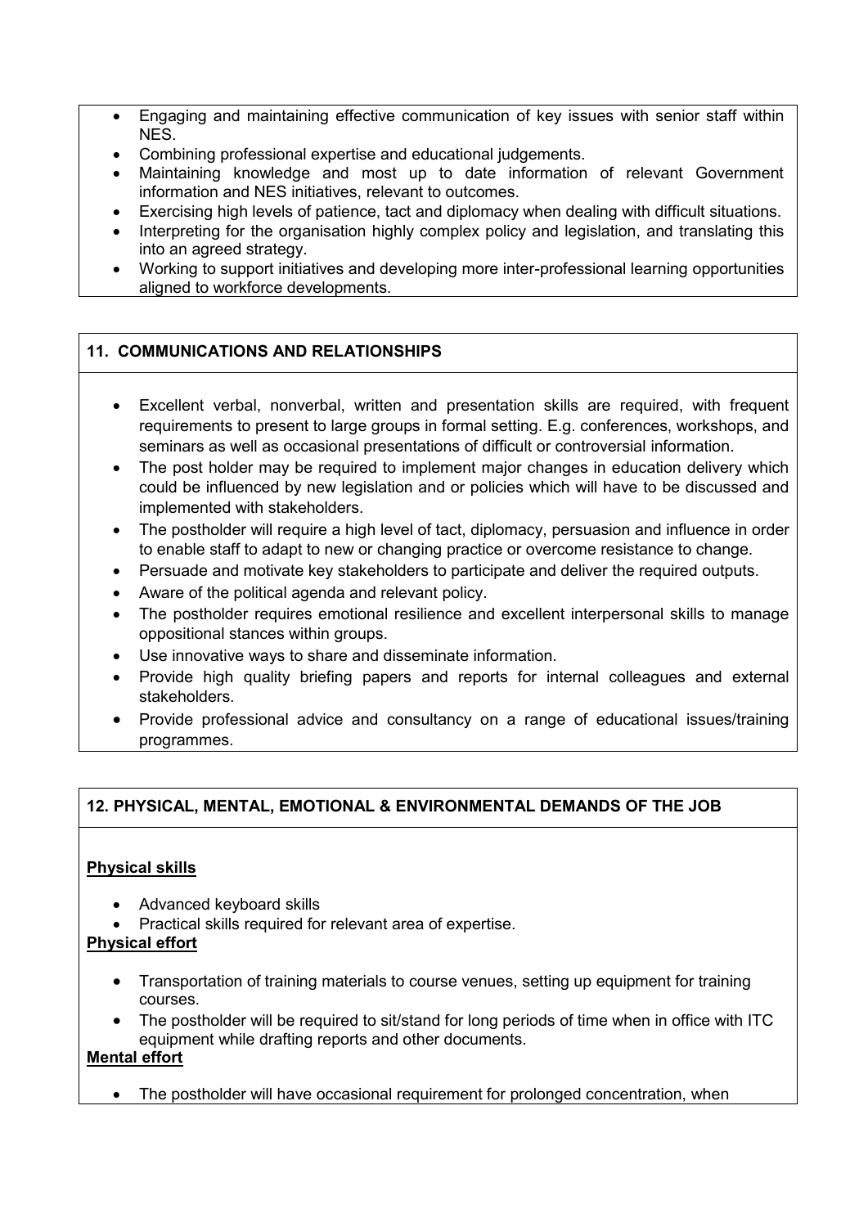- Engaging and maintaining effective communication of key issues with senior staff within NES.
- Combining professional expertise and educational judgements.
- Maintaining knowledge and most up to date information of relevant Government information and NES initiatives, relevant to outcomes.
- Exercising high levels of patience, tact and diplomacy when dealing with difficult situations.
- Interpreting for the organisation highly complex policy and legislation, and translating this into an agreed strategy.
- Working to support initiatives and developing more inter-professional learning opportunities aligned to workforce developments.

### **11. COMMUNICATIONS AND RELATIONSHIPS**

- Excellent verbal, nonverbal, written and presentation skills are required, with frequent requirements to present to large groups in formal setting. E.g. conferences, workshops, and seminars as well as occasional presentations of difficult or controversial information.
- The post holder may be required to implement major changes in education delivery which could be influenced by new legislation and or policies which will have to be discussed and implemented with stakeholders.
- The postholder will require a high level of tact, diplomacy, persuasion and influence in order to enable staff to adapt to new or changing practice or overcome resistance to change.
- Persuade and motivate key stakeholders to participate and deliver the required outputs.
- Aware of the political agenda and relevant policy.
- The postholder requires emotional resilience and excellent interpersonal skills to manage oppositional stances within groups.
- Use innovative ways to share and disseminate information.
- Provide high quality briefing papers and reports for internal colleagues and external stakeholders.
- Provide professional advice and consultancy on a range of educational issues/training programmes.

#### **12. PHYSICAL, MENTAL, EMOTIONAL & ENVIRONMENTAL DEMANDS OF THE JOB**

#### **Physical skills**

- Advanced keyboard skills
- Practical skills required for relevant area of expertise.

#### **Physical effort**

- Transportation of training materials to course venues, setting up equipment for training courses.
- The postholder will be required to sit/stand for long periods of time when in office with ITC equipment while drafting reports and other documents.

### **Mental effort**

• The postholder will have occasional requirement for prolonged concentration, when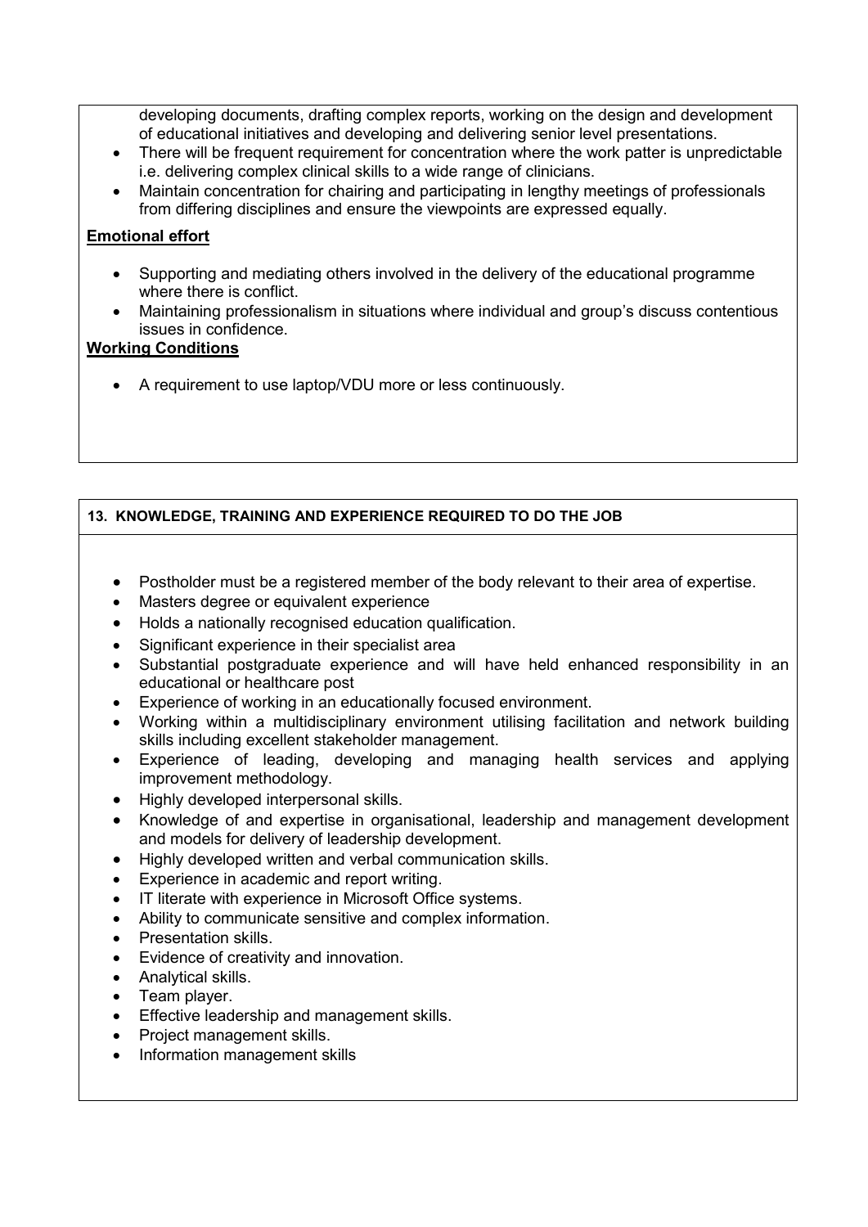developing documents, drafting complex reports, working on the design and development of educational initiatives and developing and delivering senior level presentations.

- There will be frequent requirement for concentration where the work patter is unpredictable i.e. delivering complex clinical skills to a wide range of clinicians.
- Maintain concentration for chairing and participating in lengthy meetings of professionals from differing disciplines and ensure the viewpoints are expressed equally.

#### **Emotional effort**

- Supporting and mediating others involved in the delivery of the educational programme where there is conflict.
- Maintaining professionalism in situations where individual and group's discuss contentious issues in confidence.

#### **Working Conditions**

A requirement to use laptop/VDU more or less continuously.

#### **13. KNOWLEDGE, TRAINING AND EXPERIENCE REQUIRED TO DO THE JOB**

- Postholder must be a registered member of the body relevant to their area of expertise.
- Masters degree or equivalent experience
- Holds a nationally recognised education qualification.
- Significant experience in their specialist area
- Substantial postgraduate experience and will have held enhanced responsibility in an educational or healthcare post
- Experience of working in an educationally focused environment.
- Working within a multidisciplinary environment utilising facilitation and network building skills including excellent stakeholder management.
- Experience of leading, developing and managing health services and applying improvement methodology.
- Highly developed interpersonal skills.
- Knowledge of and expertise in organisational, leadership and management development and models for delivery of leadership development.
- Highly developed written and verbal communication skills.
- Experience in academic and report writing.
- IT literate with experience in Microsoft Office systems.
- Ability to communicate sensitive and complex information.
- Presentation skills.
- Evidence of creativity and innovation.
- Analytical skills.
- Team player.
- **Effective leadership and management skills.**
- Project management skills.
- Information management skills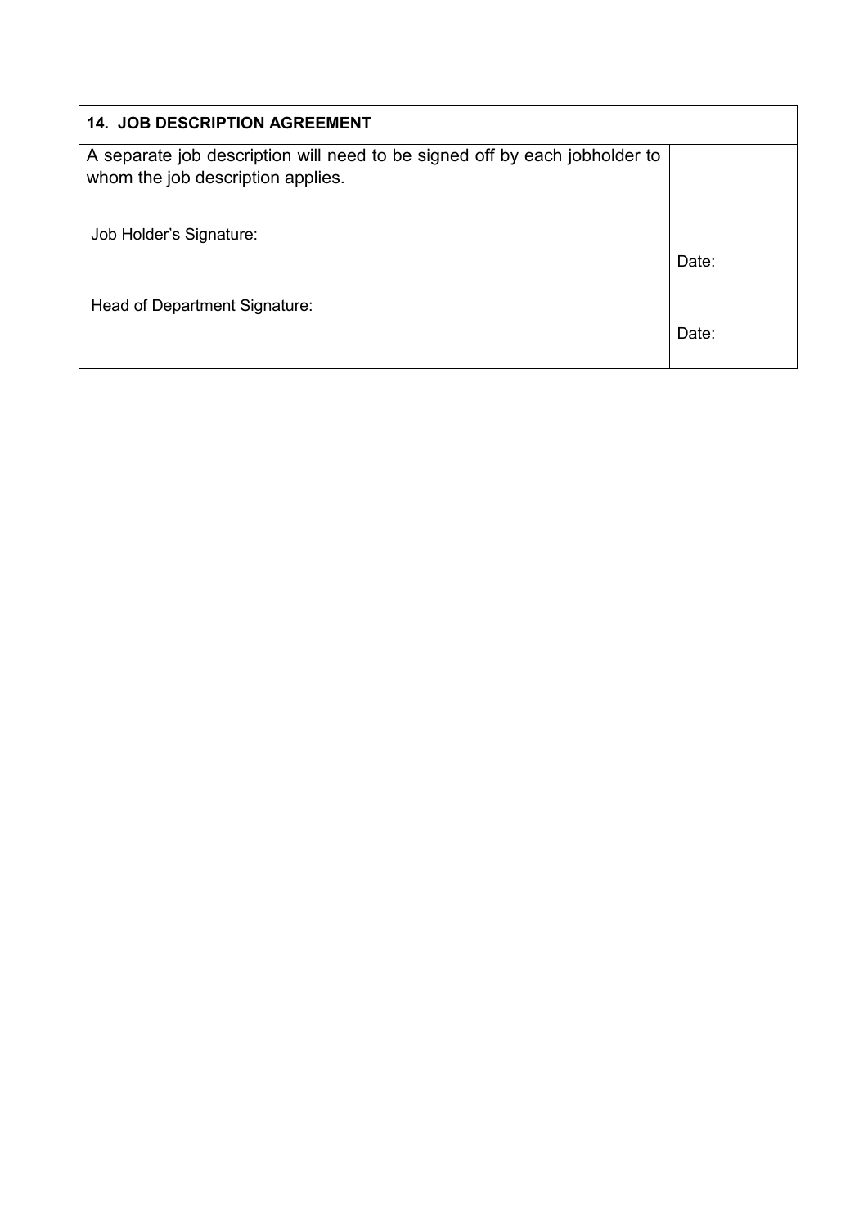| <b>14. JOB DESCRIPTION AGREEMENT</b>                                                                            |       |
|-----------------------------------------------------------------------------------------------------------------|-------|
| A separate job description will need to be signed off by each jobholder to<br>whom the job description applies. |       |
| Job Holder's Signature:                                                                                         | Date: |
| Head of Department Signature:                                                                                   | Date: |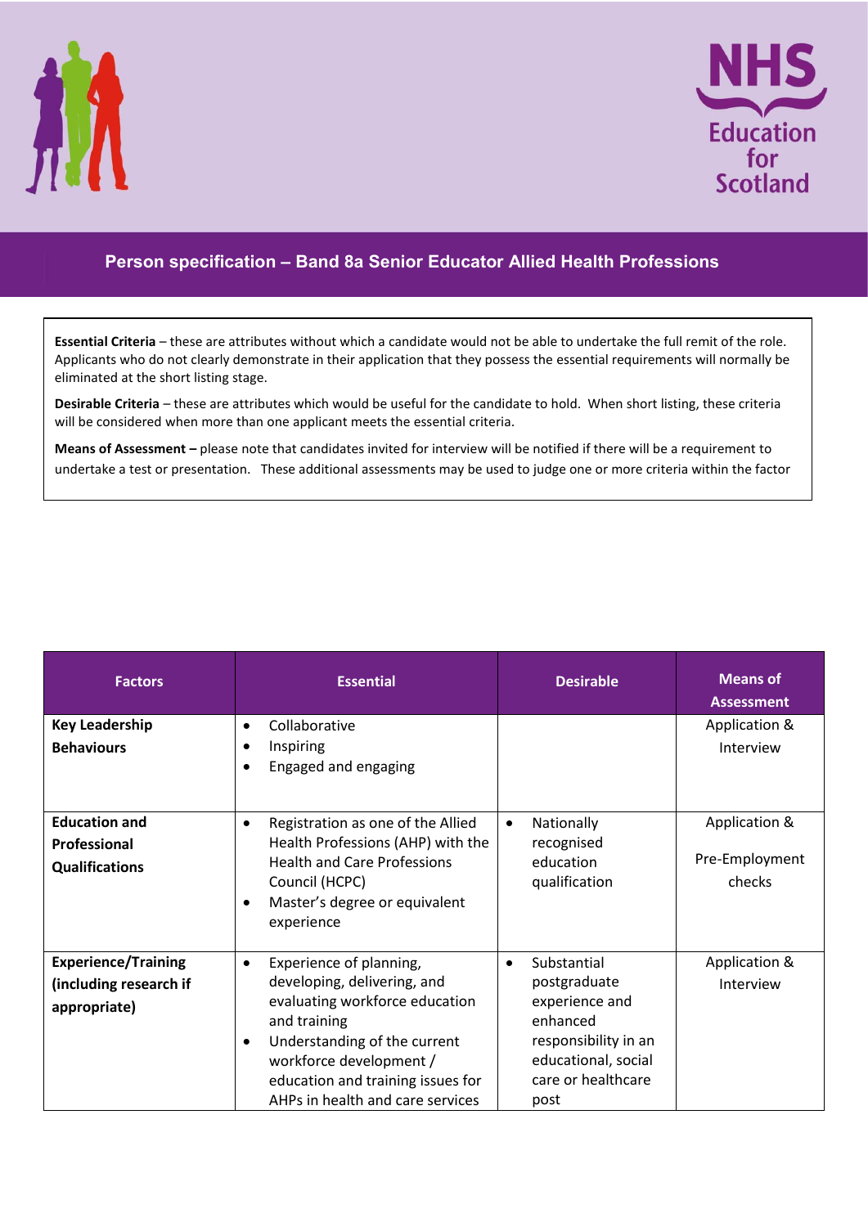



## **Person specification – Band 8a Senior Educator Allied Health Professions**

**Essential Criteria** – these are attributes without which a candidate would not be able to undertake the full remit of the role. Applicants who do not clearly demonstrate in their application that they possess the essential requirements will normally be eliminated at the short listing stage.

**Desirable Criteria** – these are attributes which would be useful for the candidate to hold. When short listing, these criteria will be considered when more than one applicant meets the essential criteria.

**Means of Assessment –** please note that candidates invited for interview will be notified if there will be a requirement to undertake a test or presentation. These additional assessments may be used to judge one or more criteria within the factor

| <b>Factors</b>                                                       | <b>Essential</b>                                                                                                                                                                                                                                                       | <b>Desirable</b>                                                                                                                                    | <b>Means of</b><br><b>Assessment</b>      |
|----------------------------------------------------------------------|------------------------------------------------------------------------------------------------------------------------------------------------------------------------------------------------------------------------------------------------------------------------|-----------------------------------------------------------------------------------------------------------------------------------------------------|-------------------------------------------|
| <b>Key Leadership</b><br><b>Behaviours</b>                           | Collaborative<br>$\bullet$<br>Inspiring<br>٠<br>Engaged and engaging<br>$\bullet$                                                                                                                                                                                      |                                                                                                                                                     | Application &<br>Interview                |
| <b>Education and</b><br>Professional<br><b>Qualifications</b>        | Registration as one of the Allied<br>$\bullet$<br>Health Professions (AHP) with the<br><b>Health and Care Professions</b><br>Council (HCPC)<br>Master's degree or equivalent<br>$\bullet$<br>experience                                                                | Nationally<br>$\bullet$<br>recognised<br>education<br>qualification                                                                                 | Application &<br>Pre-Employment<br>checks |
| <b>Experience/Training</b><br>(including research if<br>appropriate) | Experience of planning,<br>$\bullet$<br>developing, delivering, and<br>evaluating workforce education<br>and training<br>Understanding of the current<br>$\bullet$<br>workforce development /<br>education and training issues for<br>AHPs in health and care services | Substantial<br>$\bullet$<br>postgraduate<br>experience and<br>enhanced<br>responsibility in an<br>educational, social<br>care or healthcare<br>post | Application &<br>Interview                |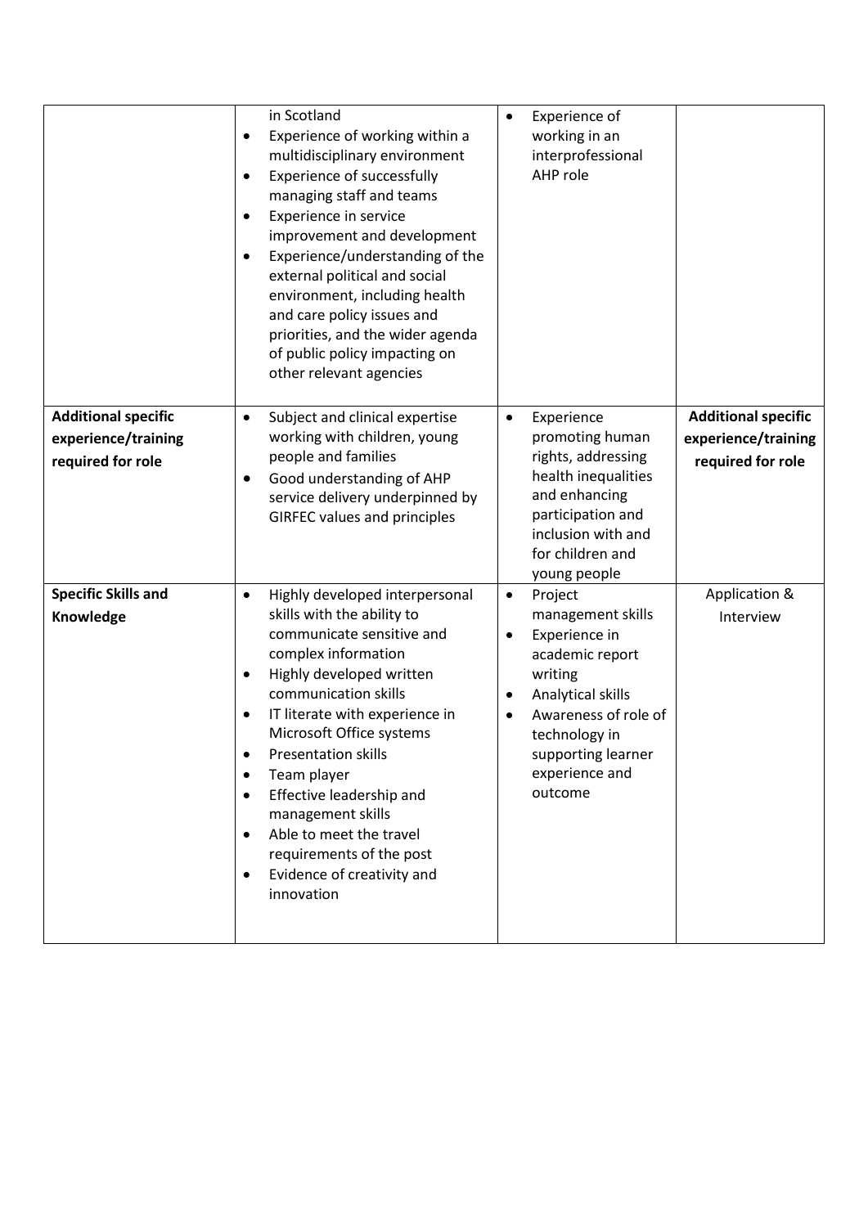|                                                                                                                   | in Scotland<br>Experience of working within a<br>$\bullet$<br>multidisciplinary environment<br>Experience of successfully<br>$\bullet$<br>managing staff and teams<br>Experience in service<br>$\bullet$<br>improvement and development<br>Experience/understanding of the<br>$\bullet$<br>external political and social<br>environment, including health<br>and care policy issues and<br>priorities, and the wider agenda<br>of public policy impacting on<br>other relevant agencies                                                                                                                                                                                                                                                                  | $\bullet$                                     | Experience of<br>working in an<br>interprofessional<br>AHP role                                                                                                                                                                                                                                                                                                            |                                                                                                      |
|-------------------------------------------------------------------------------------------------------------------|----------------------------------------------------------------------------------------------------------------------------------------------------------------------------------------------------------------------------------------------------------------------------------------------------------------------------------------------------------------------------------------------------------------------------------------------------------------------------------------------------------------------------------------------------------------------------------------------------------------------------------------------------------------------------------------------------------------------------------------------------------|-----------------------------------------------|----------------------------------------------------------------------------------------------------------------------------------------------------------------------------------------------------------------------------------------------------------------------------------------------------------------------------------------------------------------------------|------------------------------------------------------------------------------------------------------|
| <b>Additional specific</b><br>experience/training<br>required for role<br><b>Specific Skills and</b><br>Knowledge | Subject and clinical expertise<br>$\bullet$<br>working with children, young<br>people and families<br>Good understanding of AHP<br>$\bullet$<br>service delivery underpinned by<br><b>GIRFEC values and principles</b><br>Highly developed interpersonal<br>$\bullet$<br>skills with the ability to<br>communicate sensitive and<br>complex information<br>Highly developed written<br>$\bullet$<br>communication skills<br>IT literate with experience in<br>$\bullet$<br>Microsoft Office systems<br><b>Presentation skills</b><br>Team player<br>$\bullet$<br>Effective leadership and<br>$\bullet$<br>management skills<br>Able to meet the travel<br>$\bullet$<br>requirements of the post<br>Evidence of creativity and<br>$\bullet$<br>innovation | $\bullet$<br>$\bullet$<br>٠<br>٠<br>$\bullet$ | Experience<br>promoting human<br>rights, addressing<br>health inequalities<br>and enhancing<br>participation and<br>inclusion with and<br>for children and<br>young people<br>Project<br>management skills<br>Experience in<br>academic report<br>writing<br>Analytical skills<br>Awareness of role of<br>technology in<br>supporting learner<br>experience and<br>outcome | <b>Additional specific</b><br>experience/training<br>required for role<br>Application &<br>Interview |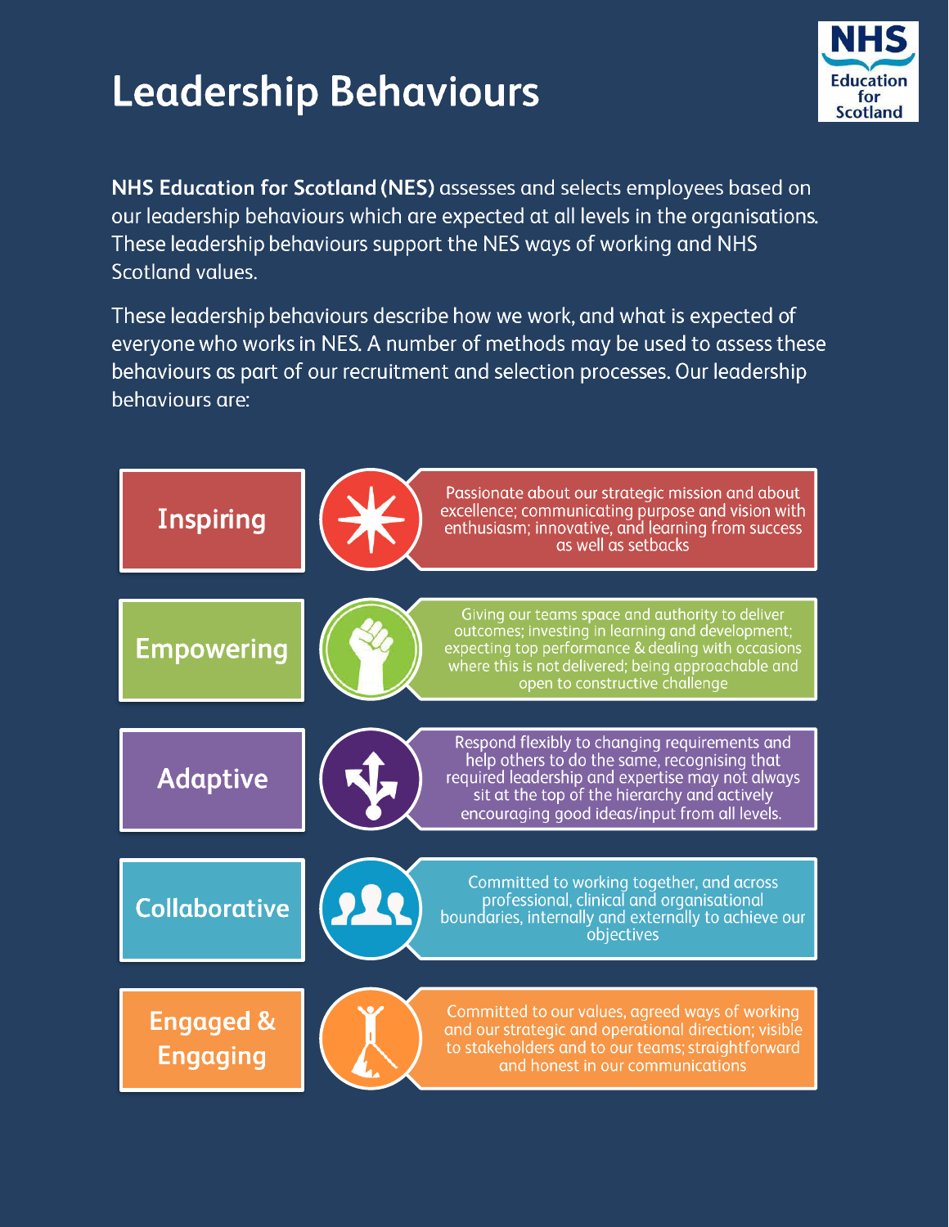# **Leadership Behaviours**



NHS Education for Scotland (NES) assesses and selects employees based on our leadership behaviours which are expected at all levels in the organisations. These leadership behaviours support the NES ways of working and NHS Scotland values.

These leadership behaviours describe how we work, and what is expected of everyone who works in NES. A number of methods may be used to assess these behaviours as part of our recruitment and selection processes. Our leadership behaviours are: